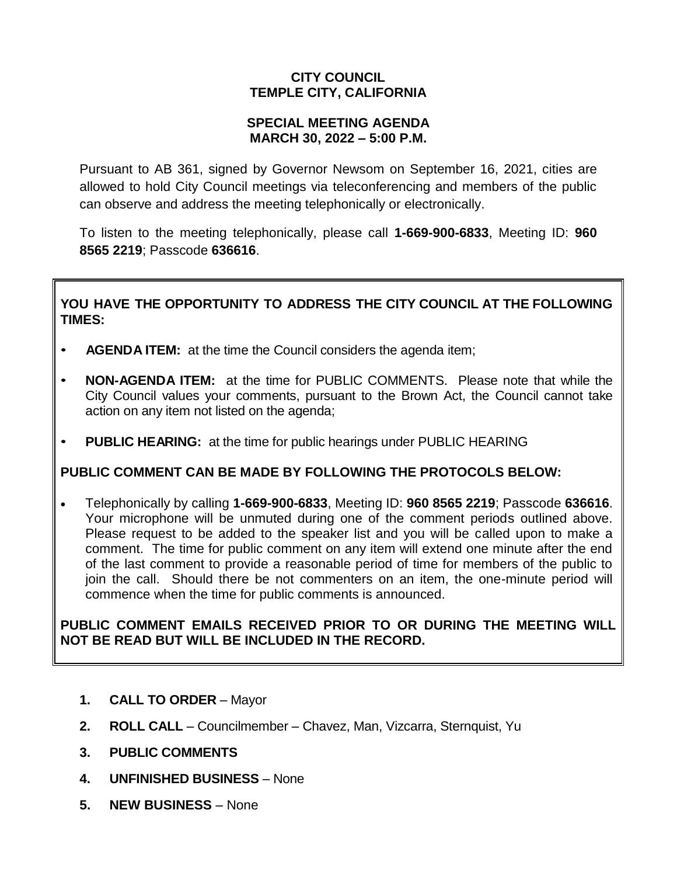# **CITY COUNCIL TEMPLE CITY, CALIFORNIA**

### **SPECIAL MEETING AGENDA MARCH 30, 2022 – 5:00 P.M.**

Pursuant to AB 361, signed by Governor Newsom on September 16, 2021, cities are allowed to hold City Council meetings via teleconferencing and members of the public can observe and address the meeting telephonically or electronically.

To listen to the meeting telephonically, please call **1-669-900-6833**, Meeting ID: **960 8565 2219**; Passcode **636616**.

# **YOU HAVE THE OPPORTUNITY TO ADDRESS THE CITY COUNCIL AT THE FOLLOWING TIMES:**

- **AGENDA ITEM:** at the time the Council considers the agenda item;
- **NON-AGENDA ITEM:** at the time for PUBLIC COMMENTS. Please note that while the City Council values your comments, pursuant to the Brown Act, the Council cannot take action on any item not listed on the agenda;
- **PUBLIC HEARING:** at the time for public hearings under PUBLIC HEARING

### **PUBLIC COMMENT CAN BE MADE BY FOLLOWING THE PROTOCOLS BELOW:**

 Telephonically by calling **1-669-900-6833**, Meeting ID: **960 8565 2219**; Passcode **636616**. Your microphone will be unmuted during one of the comment periods outlined above. Please request to be added to the speaker list and you will be called upon to make a comment. The time for public comment on any item will extend one minute after the end of the last comment to provide a reasonable period of time for members of the public to join the call. Should there be not commenters on an item, the one-minute period will commence when the time for public comments is announced.

## **PUBLIC COMMENT EMAILS RECEIVED PRIOR TO OR DURING THE MEETING WILL NOT BE READ BUT WILL BE INCLUDED IN THE RECORD.**

- **1. CALL TO ORDER** Mayor
- **2. ROLL CALL** Councilmember Chavez, Man, Vizcarra, Sternquist, Yu
- **3. PUBLIC COMMENTS**
- **4. UNFINISHED BUSINESS** None
- **5. NEW BUSINESS** None